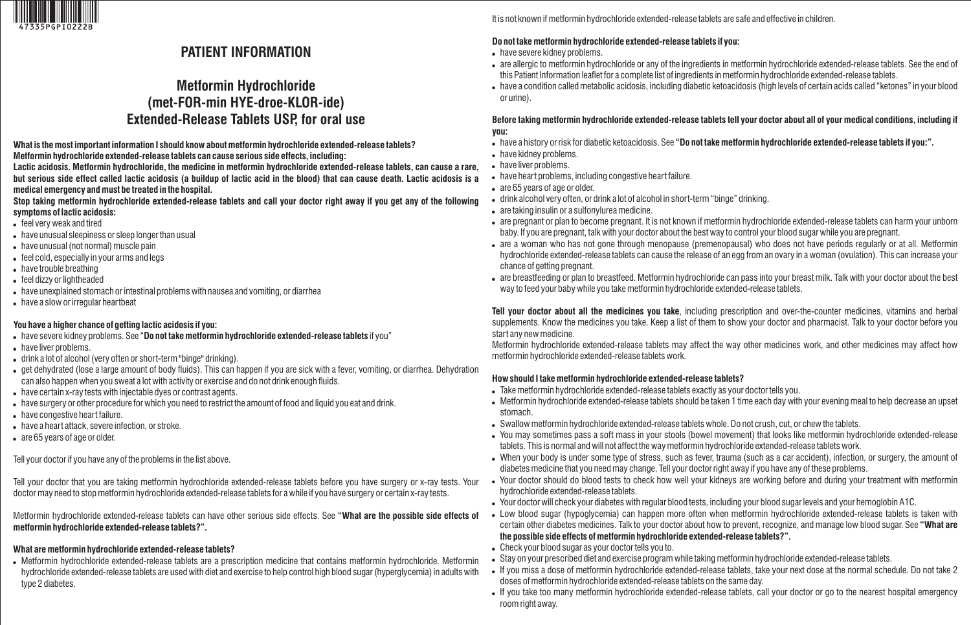

## **PATIENT INFORMATION**

# **Metformin Hydrochloride (met-FOR-min HYE-droe-KLOR-ide) Extended-Release Tablets USP, for oral use**

**What is the most important information I should know about metformin hydrochloride extended-release tablets? Metformin hydrochloride extended-release tablets can cause serious side effects, including:**

**Lactic acidosis. Metformin hydrochloride, the medicine in metformin hydrochloride extended-release tablets, can cause a rare, but serious side effect called lactic acidosis (a buildup of lactic acid in the blood) that can cause death. Lactic acidosis is a medical emergency and must be treated in the hospital.**

**Stop taking metformin hydrochloride extended-release tablets and call your doctor right away if you get any of the following symptoms of lactic acidosis:**

- feel very weak and tired
- have unusual sleepiness or sleep longer than usual
- have unusual (not normal) muscle pain
- feel cold, especially in your arms and legs
- have trouble breathing
- feel dizzy or lightheaded
- have unexplained stomach or intestinal problems with nausea and vomiting, or diarrhea
- have a slow or irregular heartbeat

### **You have a higher chance of getting lactic acidosis if you:**

- have severe kidney problems. See "**Do not take metformin hydrochloride extended-release tablets** if you"
- have liver problems.
- drink a lot of alcohol (very often or short-term "binge" drinking).
- get dehydrated (lose a large amount of body fluids). This can happen if you are sick with a fever, vomiting, or diarrhea. Dehydration can also happen when you sweat a lot with activity or exercise and do not drink enough fluids.
- have certain x-ray tests with injectable dyes or contrast agents.
- have surgery or other procedure for which you need to restrict the amount of food and liquid you eat and drink.
- have congestive heart failure.
- have a heart attack, severe infection, or stroke.
- are 65 years of age or older.

Tell your doctor if you have any of the problems in the list above.

Tell your doctor that you are taking metformin hydrochloride extended-release tablets before you have surgery or x-ray tests. Your doctor may need to stop metformin hydrochloride extended-release tablets for a while if you have surgery or certain x-ray tests.

Metformin hydrochloride extended-release tablets can have other serious side effects. See **"What are the possible side effects of metformin hydrochloride extended-release tablets?".**

# **What are metformin hydrochloride extended-release tablets?**

 Metformin hydrochloride extended-release tablets are a prescription medicine that contains metformin hydrochloride. Metformin hydrochloride extended-release tablets are used with diet and exercise to help control high blood sugar (hyperglycemia) in adults with type 2 diabetes.

It is not known if metformin hydrochloride extended-release tablets are safe and effective in children.

## **Do not take metformin hydrochloride extended-release tablets if you:**

- have severe kidney problems.
- are allergic to metformin hydrochloride or any of the ingredients in metformin hydrochloride extended-release tablets. See the end of this Patient Information leaflet for a complete list of ingredients in metformin hydrochloride extended-release tablets.
- have a condition called metabolic acidosis, including diabetic ketoacidosis (high levels of certain acids called "ketones" in your blood or urine).

### **Before taking metformin hydrochloride extended-release tablets tell your doctor about all of your medical conditions, including if you:**

- have a history or risk for diabetic ketoacidosis. See **"Do not take metformin hydrochloride extended-release tablets if you:".**
- have kidney problems.
- have liver problems.
- have heart problems, including congestive heart failure.
- are 65 years of age or older.
- drink alcohol very often, or drink a lot of alcohol in short-term "binge" drinking.
- are taking insulin or a sulfonylurea medicine.
- are pregnant or plan to become pregnant. It is not known if metformin hydrochloride extended-release tablets can harm your unborn baby. If you are pregnant, talk with your doctor about the best way to control your blood sugar while you are pregnant.
- are a woman who has not gone through menopause (premenopausal) who does not have periods regularly or at all. Metformin hydrochloride extended-release tablets can cause the release of an egg from an ovary in a woman (ovulation). This can increase your chance of getting pregnant.
- are breastfeeding or plan to breastfeed. Metformin hydrochloride can pass into your breast milk. Talk with your doctor about the best way to feed your baby while you take metformin hydrochloride extended-release tablets.

**Tell your doctor about all the medicines you take**, including prescription and over-the-counter medicines, vitamins and herbal supplements. Know the medicines you take. Keep a list of them to show your doctor and pharmacist. Talk to your doctor before you start any new medicine.

Metformin hydrochloride extended-release tablets may affect the way other medicines work, and other medicines may affect how metformin hydrochloride extended-release tablets work.

## **How should I take metformin hydrochloride extended-release tablets?**

- Take metformin hydrochloride extended-release tablets exactly as your doctor tells you.
- Metformin hydrochloride extended-release tablets should be taken 1 time each day with your evening meal to help decrease an upset stomach.
- Swallow metformin hydrochloride extended-release tablets whole. Do not crush, cut, or chew the tablets.
- You may sometimes pass a soft mass in your stools (bowel movement) that looks like metformin hydrochloride extended-release tablets. This is normal and will not affect the way metformin hydrochloride extended-release tablets work.
- When your body is under some type of stress, such as fever, trauma (such as a car accident), infection, or surgery, the amount of diabetes medicine that you need may change. Tell your doctor right away if you have any of these problems.
- Your doctor should do blood tests to check how well your kidneys are working before and during your treatment with metformin hydrochloride extended-release tablets.
- Your doctor will check your diabetes with regular blood tests, including your blood sugar levels and your hemoglobin A1C.
- Low blood sugar (hypoglycemia) can happen more often when metformin hydrochloride extended-release tablets is taken with certain other diabetes medicines. Talk to your doctor about how to prevent, recognize, and manage low blood sugar. See **"What are the possible side effects of metformin hydrochloride extended-release tablets?".**
- Check your blood sugar as your doctor tells you to.
- Stay on your prescribed diet and exercise program while taking metformin hydrochloride extended-release tablets.
- If you miss a dose of metformin hydrochloride extended-release tablets, take your next dose at the normal schedule. Do not take 2 doses of metformin hydrochloride extended-release tablets on the same day.
- If you take too many metformin hydrochloride extended-release tablets, call your doctor or go to the nearest hospital emergency room right away.